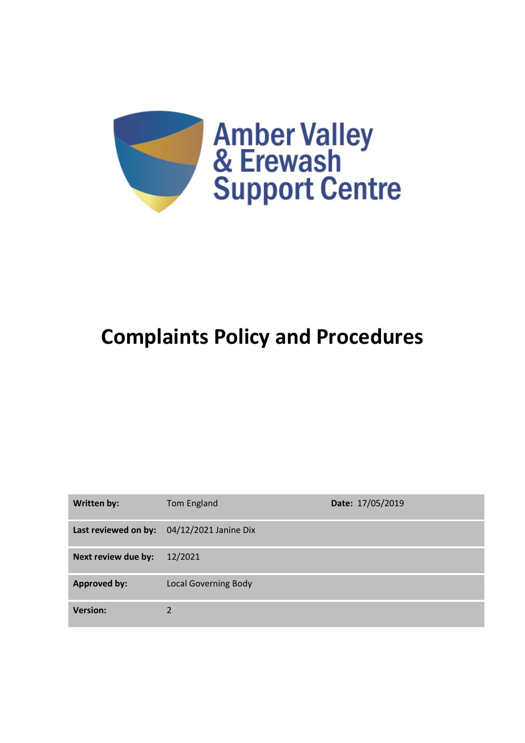

# **Complaints Policy and Procedures**

| Written by:         | Tom England                                | Date: 17/05/2019 |
|---------------------|--------------------------------------------|------------------|
|                     | Last reviewed on by: 04/12/2021 Janine Dix |                  |
| Next review due by: | 12/2021                                    |                  |
| <b>Approved by:</b> | <b>Local Governing Body</b>                |                  |
| <b>Version:</b>     | 2                                          |                  |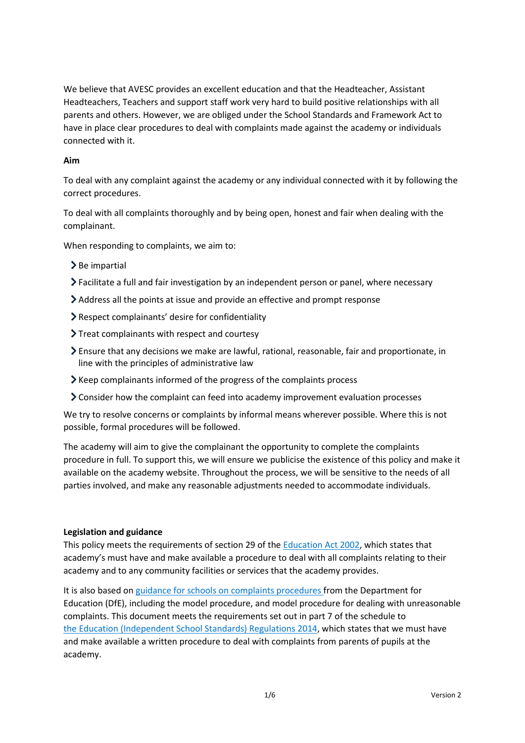We believe that AVESC provides an excellent education and that the Headteacher, Assistant Headteachers, Teachers and support staff work very hard to build positive relationships with all parents and others. However, we are obliged under the School Standards and Framework Act to have in place clear procedures to deal with complaints made against the academy or individuals connected with it.

# **Aim**

To deal with any complaint against the academy or any individual connected with it by following the correct procedures.

To deal with all complaints thoroughly and by being open, honest and fair when dealing with the complainant.

When responding to complaints, we aim to:

- $\geq$  Be impartial
- Facilitate a full and fair investigation by an independent person or panel, where necessary
- Address all the points at issue and provide an effective and prompt response
- Respect complainants' desire for confidentiality
- Treat complainants with respect and courtesy
- Ensure that any decisions we make are lawful, rational, reasonable, fair and proportionate, in line with the principles of administrative law
- $\blacktriangleright$  Keep complainants informed of the progress of the complaints process
- Consider how the complaint can feed into academy improvement evaluation processes

We try to resolve concerns or complaints by informal means wherever possible. Where this is not possible, formal procedures will be followed.

The academy will aim to give the complainant the opportunity to complete the complaints procedure in full. To support this, we will ensure we publicise the existence of this policy and make it available on the academy website. Throughout the process, we will be sensitive to the needs of all parties involved, and make any reasonable adjustments needed to accommodate individuals.

#### **Legislation and guidance**

This policy meets the requirements of section 29 of the **Education Act 2002**, which states that academy's must have and make available a procedure to deal with all complaints relating to their academy and to any community facilities or services that the academy provides.

It is also based on [guidance for schools on complaints procedures](https://www.gov.uk/government/publications/school-complaints-procedures) from the Department for Education (DfE), including the model procedure, and model procedure for dealing with unreasonable complaints. This document meets the requirements set out in part 7 of the schedule to the [Education \(Independent School Standards\) Regulations 2014,](http://www.legislation.gov.uk/uksi/2014/3283/schedule/made) which states that we must have and make available a written procedure to deal with complaints from parents of pupils at the academy.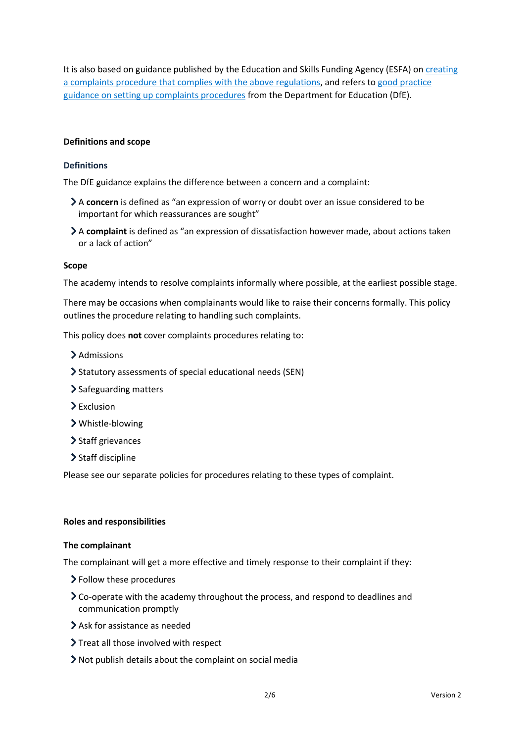It is also based on guidance published by the Education and Skills Funding Agency (ESFA) on [creating](https://www.gov.uk/government/publications/setting-up-an-academies-complaints-procedure)  [a complaints procedure that complies with the above regulations,](https://www.gov.uk/government/publications/setting-up-an-academies-complaints-procedure) and refers t[o good practice](https://www.gov.uk/government/publications/school-complaints-procedures)  [guidance on setting up complaints procedures](https://www.gov.uk/government/publications/school-complaints-procedures) from the Department for Education (DfE).

#### **Definitions and scope**

#### **Definitions**

The DfE guidance explains the difference between a concern and a complaint:

- A **concern** is defined as "an expression of worry or doubt over an issue considered to be important for which reassurances are sought"
- A **complaint** is defined as "an expression of dissatisfaction however made, about actions taken or a lack of action"

#### **Scope**

The academy intends to resolve complaints informally where possible, at the earliest possible stage.

There may be occasions when complainants would like to raise their concerns formally. This policy outlines the procedure relating to handling such complaints.

This policy does **not** cover complaints procedures relating to:

- > Admissions
- Statutory assessments of special educational needs (SEN)
- > Safeguarding matters
- > Exclusion
- Whistle-blowing
- > Staff grievances
- > Staff discipline

Please see our separate policies for procedures relating to these types of complaint.

#### **Roles and responsibilities**

#### **The complainant**

The complainant will get a more effective and timely response to their complaint if they:

- Follow these procedures
- Co-operate with the academy throughout the process, and respond to deadlines and communication promptly
- Ask for assistance as needed
- > Treat all those involved with respect
- Not publish details about the complaint on social media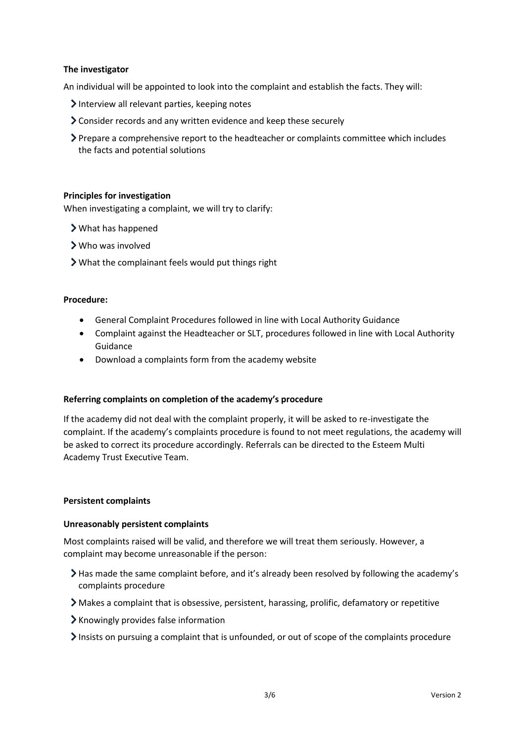#### **The investigator**

An individual will be appointed to look into the complaint and establish the facts. They will:

- $\lambda$  Interview all relevant parties, keeping notes
- Consider records and any written evidence and keep these securely
- Prepare a comprehensive report to the headteacher or complaints committee which includes the facts and potential solutions

# **Principles for investigation**

When investigating a complaint, we will try to clarify:

- What has happened
- Who was involved
- What the complainant feels would put things right

#### **Procedure:**

- General Complaint Procedures followed in line with Local Authority Guidance
- Complaint against the Headteacher or SLT, procedures followed in line with Local Authority Guidance
- Download a complaints form from the academy website

#### **Referring complaints on completion of the academy's procedure**

If the academy did not deal with the complaint properly, it will be asked to re-investigate the complaint. If the academy's complaints procedure is found to not meet regulations, the academy will be asked to correct its procedure accordingly. Referrals can be directed to the Esteem Multi Academy Trust Executive Team.

#### **Persistent complaints**

#### **Unreasonably persistent complaints**

Most complaints raised will be valid, and therefore we will treat them seriously. However, a complaint may become unreasonable if the person:

- Has made the same complaint before, and it's already been resolved by following the academy's complaints procedure
- Makes a complaint that is obsessive, persistent, harassing, prolific, defamatory or repetitive
- $\blacktriangleright$  Knowingly provides false information
- Insists on pursuing a complaint that is unfounded, or out of scope of the complaints procedure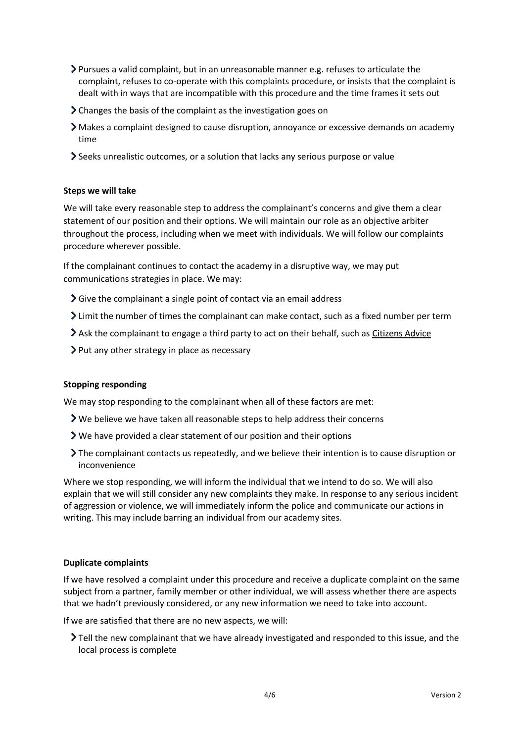- Pursues a valid complaint, but in an unreasonable manner e.g. refuses to articulate the complaint, refuses to co-operate with this complaints procedure, or insists that the complaint is dealt with in ways that are incompatible with this procedure and the time frames it sets out
- Changes the basis of the complaint as the investigation goes on
- Makes a complaint designed to cause disruption, annoyance or excessive demands on academy time
- Seeks unrealistic outcomes, or a solution that lacks any serious purpose or value

#### **Steps we will take**

We will take every reasonable step to address the complainant's concerns and give them a clear statement of our position and their options. We will maintain our role as an objective arbiter throughout the process, including when we meet with individuals. We will follow our complaints procedure wherever possible.

If the complainant continues to contact the academy in a disruptive way, we may put communications strategies in place. We may:

- $\sum$  Give the complainant a single point of contact via an email address
- $\geq$  Limit the number of times the complainant can make contact, such as a fixed number per term
- Ask the complainant to engage a third party to act on their behalf, such as [Citizens Advice](https://www.citizensadvice.org.uk/)
- $\triangleright$  Put any other strategy in place as necessary

#### **Stopping responding**

We may stop responding to the complainant when all of these factors are met:

- We believe we have taken all reasonable steps to help address their concerns
- We have provided a clear statement of our position and their options
- The complainant contacts us repeatedly, and we believe their intention is to cause disruption or inconvenience

Where we stop responding, we will inform the individual that we intend to do so. We will also explain that we will still consider any new complaints they make. In response to any serious incident of aggression or violence, we will immediately inform the police and communicate our actions in writing. This may include barring an individual from our academy sites.

#### **Duplicate complaints**

If we have resolved a complaint under this procedure and receive a duplicate complaint on the same subject from a partner, family member or other individual, we will assess whether there are aspects that we hadn't previously considered, or any new information we need to take into account.

If we are satisfied that there are no new aspects, we will:

Tell the new complainant that we have already investigated and responded to this issue, and the local process is complete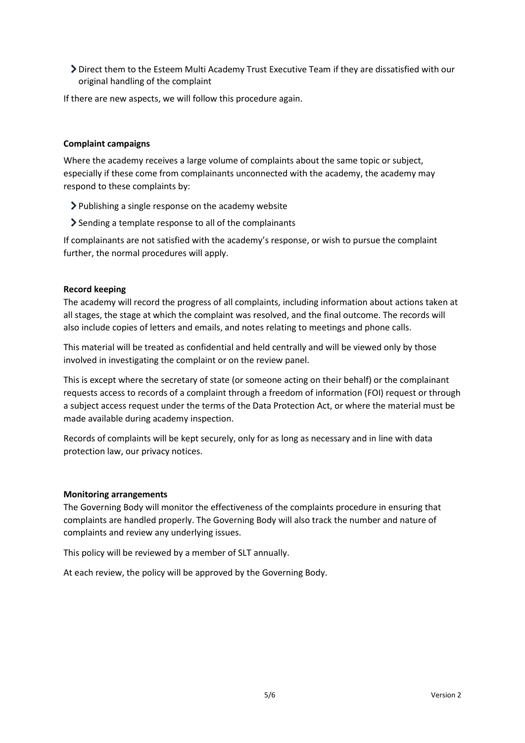Direct them to the Esteem Multi Academy Trust Executive Team if they are dissatisfied with our original handling of the complaint

If there are new aspects, we will follow this procedure again.

# **Complaint campaigns**

Where the academy receives a large volume of complaints about the same topic or subject, especially if these come from complainants unconnected with the academy, the academy may respond to these complaints by:

- Publishing a single response on the academy website
- Sending a template response to all of the complainants

If complainants are not satisfied with the academy's response, or wish to pursue the complaint further, the normal procedures will apply.

#### **Record keeping**

The academy will record the progress of all complaints, including information about actions taken at all stages, the stage at which the complaint was resolved, and the final outcome. The records will also include copies of letters and emails, and notes relating to meetings and phone calls.

This material will be treated as confidential and held centrally and will be viewed only by those involved in investigating the complaint or on the review panel.

This is except where the secretary of state (or someone acting on their behalf) or the complainant requests access to records of a complaint through a freedom of information (FOI) request or through a subject access request under the terms of the Data Protection Act, or where the material must be made available during academy inspection.

Records of complaints will be kept securely, only for as long as necessary and in line with data protection law, our privacy notices.

#### **Monitoring arrangements**

The Governing Body will monitor the effectiveness of the complaints procedure in ensuring that complaints are handled properly. The Governing Body will also track the number and nature of complaints and review any underlying issues.

This policy will be reviewed by a member of SLT annually.

At each review, the policy will be approved by the Governing Body.